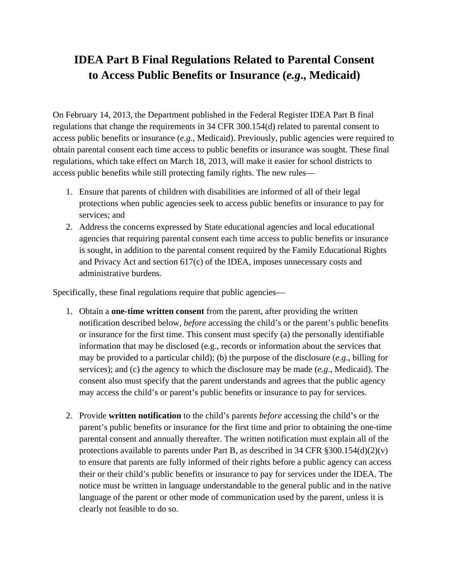## **IDEA Part B Final Regulations Related to Parental Consent to Access Public Benefits or Insurance (***e.g***., Medicaid)**

On February 14, 2013, the Department published in the Federal Register IDEA Part B final regulations that change the requirements in 34 CFR 300.154(d) related to parental consent to access public benefits or insurance (*e.g*., Medicaid). Previously, public agencies were required to obtain parental consent each time access to public benefits or insurance was sought. These final regulations, which take effect on March 18, 2013, will make it easier for school districts to access public benefits while still protecting family rights. The new rules—

- 1. Ensure that parents of children with disabilities are informed of all of their legal protections when public agencies seek to access public benefits or insurance to pay for services; and
- 2. Address the concerns expressed by State educational agencies and local educational agencies that requiring parental consent each time access to public benefits or insurance is sought, in addition to the parental consent required by the Family Educational Rights and Privacy Act and section 617(c) of the IDEA, imposes unnecessary costs and administrative burdens.

Specifically, these final regulations require that public agencies—

- 1. Obtain a **one-time written consent** from the parent, after providing the written notification described below, *before* accessing the child's or the parent's public benefits or insurance for the first time. This consent must specify (a) the personally identifiable information that may be disclosed (e.g., records or information about the services that may be provided to a particular child); (b) the purpose of the disclosure (*e.g*., billing for services); and (c) the agency to which the disclosure may be made (*e.g*., Medicaid). The consent also must specify that the parent understands and agrees that the public agency may access the child's or parent's public benefits or insurance to pay for services.
- 2. Provide **written notification** to the child's parents *before* accessing the child's or the parent's public benefits or insurance for the first time and prior to obtaining the one-time parental consent and annually thereafter. The written notification must explain all of the protections available to parents under Part B, as described in 34 CFR  $\S 300.154(d)(2)(v)$ to ensure that parents are fully informed of their rights before a public agency can access their or their child's public benefits or insurance to pay for services under the IDEA. The notice must be written in language understandable to the general public and in the native language of the parent or other mode of communication used by the parent, unless it is clearly not feasible to do so.